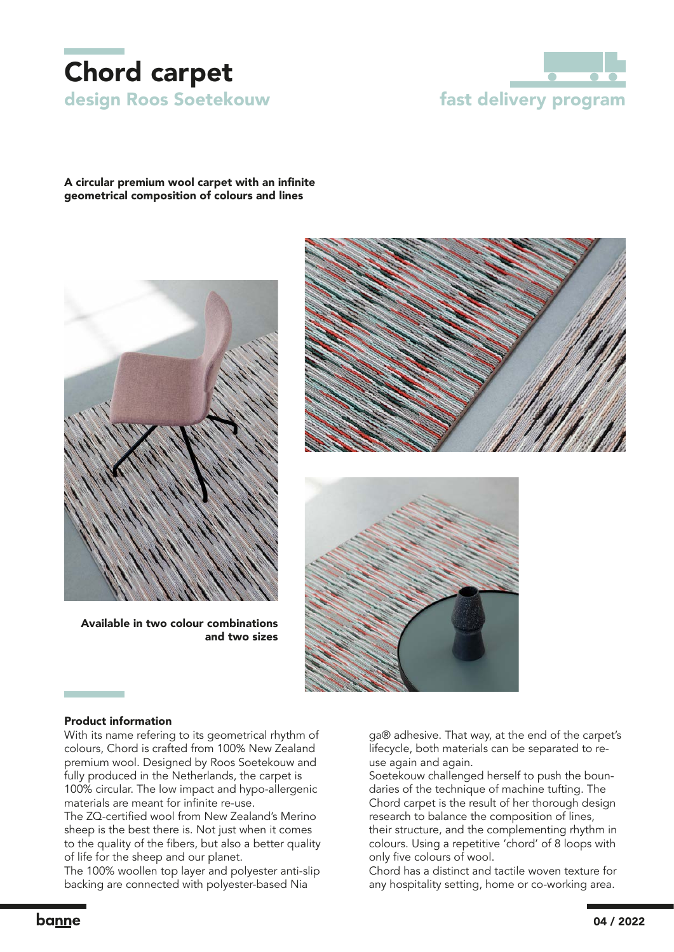



## A circular premium wool carpet with an infinite geometrical composition of colours and lines



Available in two colour combinations and two sizes





#### Product information

With its name refering to its geometrical rhythm of colours, Chord is crafted from 100% New Zealand premium wool. Designed by Roos Soetekouw and fully produced in the Netherlands, the carpet is 100% circular. The low impact and hypo-allergenic materials are meant for infinite re-use.

The ZQ-certified wool from New Zealand's Merino sheep is the best there is. Not just when it comes to the quality of the fibers, but also a better quality of life for the sheep and our planet.

The 100% woollen top layer and polyester anti-slip backing are connected with polyester-based Nia

ga® adhesive. That way, at the end of the carpet's lifecycle, both materials can be separated to reuse again and again.

Soetekouw challenged herself to push the boundaries of the technique of machine tufting. The Chord carpet is the result of her thorough design research to balance the composition of lines, their structure, and the complementing rhythm in colours. Using a repetitive 'chord' of 8 loops with only five colours of wool.

Chord has a distinct and tactile woven texture for any hospitality setting, home or co-working area.